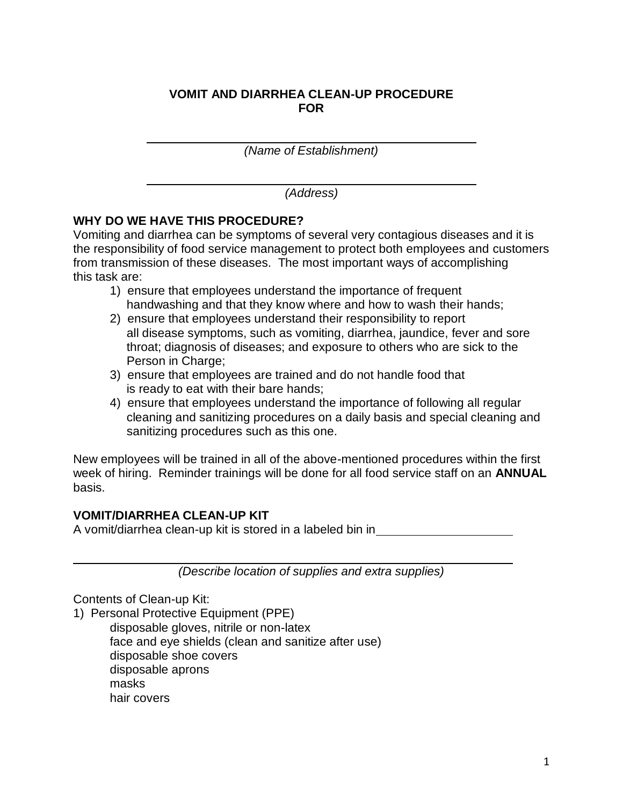# **VOMIT AND DIARRHEA CLEAN-UP PROCEDURE FOR**

*(Name of Establishment)*

*(Address)*

# **WHY DO WE HAVE THIS PROCEDURE?**

Vomiting and diarrhea can be symptoms of several very contagious diseases and it is the responsibility of food service management to protect both employees and customers from transmission of these diseases. The most important ways of accomplishing this task are:

- 1) ensure that employees understand the importance of frequent handwashing and that they know where and how to wash their hands;
- 2) ensure that employees understand their responsibility to report all disease symptoms, such as vomiting, diarrhea, jaundice, fever and sore throat; diagnosis of diseases; and exposure to others who are sick to the Person in Charge;
- 3) ensure that employees are trained and do not handle food that is ready to eat with their bare hands;
- 4) ensure that employees understand the importance of following all regular cleaning and sanitizing procedures on a daily basis and special cleaning and sanitizing procedures such as this one.

New employees will be trained in all of the above-mentioned procedures within the first week of hiring. Reminder trainings will be done for all food service staff on an **ANNUAL** basis.

### **VOMIT/DIARRHEA CLEAN-UP KIT**

A vomit/diarrhea clean-up kit is stored in a labeled bin in

*(Describe location of supplies and extra supplies)*

Contents of Clean-up Kit:

1) Personal Protective Equipment (PPE)

disposable gloves, nitrile or non-latex face and eye shields (clean and sanitize after use) disposable shoe covers disposable aprons masks hair covers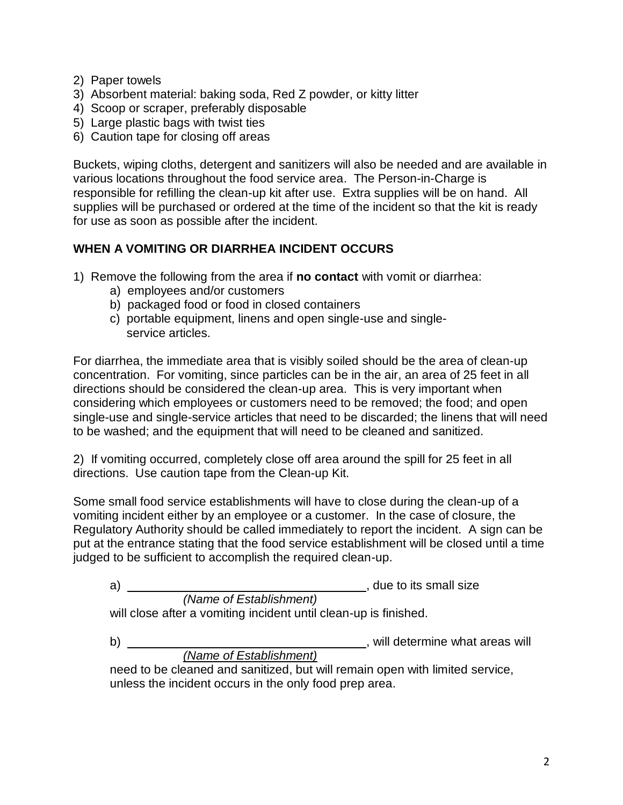- 2) Paper towels
- 3) Absorbent material: baking soda, Red Z powder, or kitty litter
- 4) Scoop or scraper, preferably disposable
- 5) Large plastic bags with twist ties
- 6) Caution tape for closing off areas

Buckets, wiping cloths, detergent and sanitizers will also be needed and are available in various locations throughout the food service area. The Person-in-Charge is responsible for refilling the clean-up kit after use. Extra supplies will be on hand. All supplies will be purchased or ordered at the time of the incident so that the kit is ready for use as soon as possible after the incident.

# **WHEN A VOMITING OR DIARRHEA INCIDENT OCCURS**

- 1) Remove the following from the area if **no contact** with vomit or diarrhea:
	- a) employees and/or customers
	- b) packaged food or food in closed containers
	- c) portable equipment, linens and open single-use and single service articles.

For diarrhea, the immediate area that is visibly soiled should be the area of clean-up concentration. For vomiting, since particles can be in the air, an area of 25 feet in all directions should be considered the clean-up area. This is very important when considering which employees or customers need to be removed; the food; and open single-use and single-service articles that need to be discarded; the linens that will need to be washed; and the equipment that will need to be cleaned and sanitized.

2) If vomiting occurred, completely close off area around the spill for 25 feet in all directions. Use caution tape from the Clean-up Kit.

Some small food service establishments will have to close during the clean-up of a vomiting incident either by an employee or a customer. In the case of closure, the Regulatory Authority should be called immediately to report the incident. A sign can be put at the entrance stating that the food service establishment will be closed until a time judged to be sufficient to accomplish the required clean-up.

| a)                                                               | , due to its small size |  |  |  |
|------------------------------------------------------------------|-------------------------|--|--|--|
|                                                                  | (Name of Establishment) |  |  |  |
| will close after a vomiting incident until clean-up is finished. |                         |  |  |  |
|                                                                  |                         |  |  |  |

| b)                                                                           | will determine what areas will |  |  |  |
|------------------------------------------------------------------------------|--------------------------------|--|--|--|
| (Name of Establishment)                                                      |                                |  |  |  |
| need to be cleaned and sanitized, but will remain open with limited service, |                                |  |  |  |
| unless the incident occurs in the only food prep area.                       |                                |  |  |  |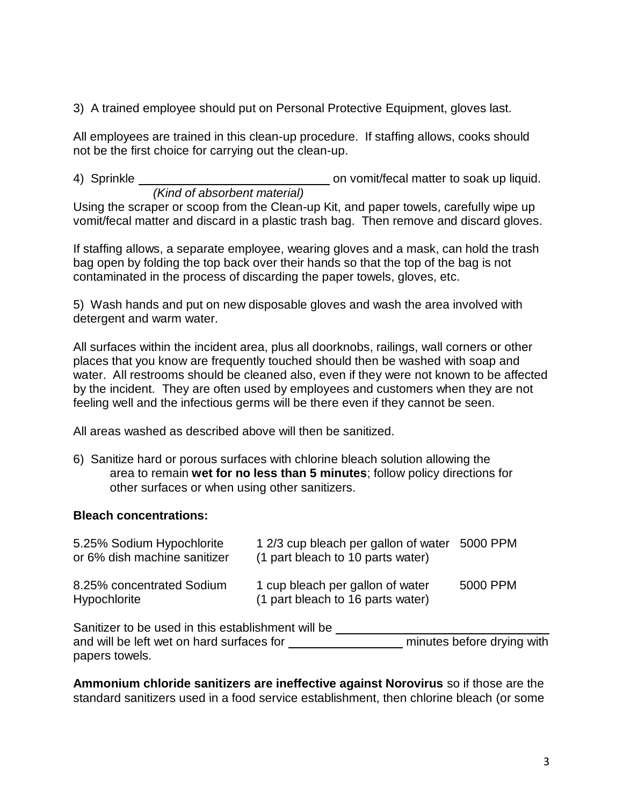3) A trained employee should put on Personal Protective Equipment, gloves last.

All employees are trained in this clean-up procedure. If staffing allows, cooks should not be the first choice for carrying out the clean-up.

4) Sprinkle **contract and interveller on victor** on vomit/fecal matter to soak up liquid. *(Kind of absorbent material)*

Using the scraper or scoop from the Clean-up Kit, and paper towels, carefully wipe up vomit/fecal matter and discard in a plastic trash bag. Then remove and discard gloves.

If staffing allows, a separate employee, wearing gloves and a mask, can hold the trash bag open by folding the top back over their hands so that the top of the bag is not contaminated in the process of discarding the paper towels, gloves, etc.

5) Wash hands and put on new disposable gloves and wash the area involved with detergent and warm water.

All surfaces within the incident area, plus all doorknobs, railings, wall corners or other places that you know are frequently touched should then be washed with soap and water. All restrooms should be cleaned also, even if they were not known to be affected by the incident. They are often used by employees and customers when they are not feeling well and the infectious germs will be there even if they cannot be seen.

All areas washed as described above will then be sanitized.

6) Sanitize hard or porous surfaces with chlorine bleach solution allowing the area to remain **wet for no less than 5 minutes**; follow policy directions for other surfaces or when using other sanitizers.

### **Bleach concentrations:**

| 5.25% Sodium Hypochlorite<br>or 6% dish machine sanitizer | 1 2/3 cup bleach per gallon of water 5000 PPM<br>(1 part bleach to 10 parts water) |          |
|-----------------------------------------------------------|------------------------------------------------------------------------------------|----------|
| 8.25% concentrated Sodium<br>Hypochlorite                 | 1 cup bleach per gallon of water<br>(1 part bleach to 16 parts water)              | 5000 PPM |

Sanitizer to be used in this establishment will be and will be left wet on hard surfaces for **constantly minutes before drying with** papers towels.

**Ammonium chloride sanitizers are ineffective against Norovirus** so if those are the standard sanitizers used in a food service establishment, then chlorine bleach (or some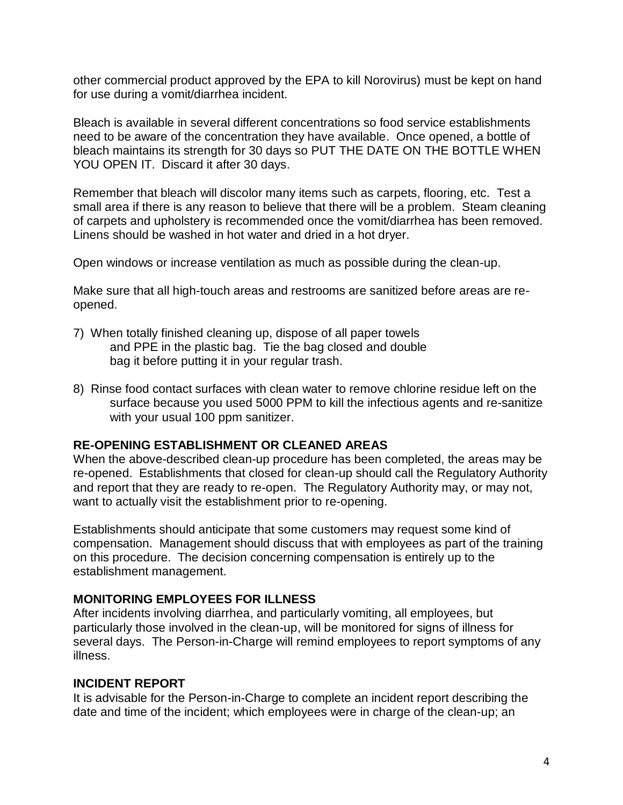other commercial product approved by the EPA to kill Norovirus) must be kept on hand for use during a vomit/diarrhea incident.

Bleach is available in several different concentrations so food service establishments need to be aware of the concentration they have available. Once opened, a bottle of bleach maintains its strength for 30 days so PUT THE DATE ON THE BOTTLE WHEN YOU OPEN IT. Discard it after 30 days.

Remember that bleach will discolor many items such as carpets, flooring, etc. Test a small area if there is any reason to believe that there will be a problem. Steam cleaning of carpets and upholstery is recommended once the vomit/diarrhea has been removed. Linens should be washed in hot water and dried in a hot dryer.

Open windows or increase ventilation as much as possible during the clean-up.

Make sure that all high-touch areas and restrooms are sanitized before areas are reopened.

- 7) When totally finished cleaning up, dispose of all paper towels and PPE in the plastic bag. Tie the bag closed and double bag it before putting it in your regular trash.
- 8) Rinse food contact surfaces with clean water to remove chlorine residue left on the surface because you used 5000 PPM to kill the infectious agents and re-sanitize with your usual 100 ppm sanitizer.

### **RE-OPENING ESTABLISHMENT OR CLEANED AREAS**

When the above-described clean-up procedure has been completed, the areas may be re-opened. Establishments that closed for clean-up should call the Regulatory Authority and report that they are ready to re-open. The Regulatory Authority may, or may not, want to actually visit the establishment prior to re-opening.

Establishments should anticipate that some customers may request some kind of compensation. Management should discuss that with employees as part of the training on this procedure. The decision concerning compensation is entirely up to the establishment management.

### **MONITORING EMPLOYEES FOR ILLNESS**

After incidents involving diarrhea, and particularly vomiting, all employees, but particularly those involved in the clean-up, will be monitored for signs of illness for several days. The Person-in-Charge will remind employees to report symptoms of any illness.

### **INCIDENT REPORT**

It is advisable for the Person-in-Charge to complete an incident report describing the date and time of the incident; which employees were in charge of the clean-up; an